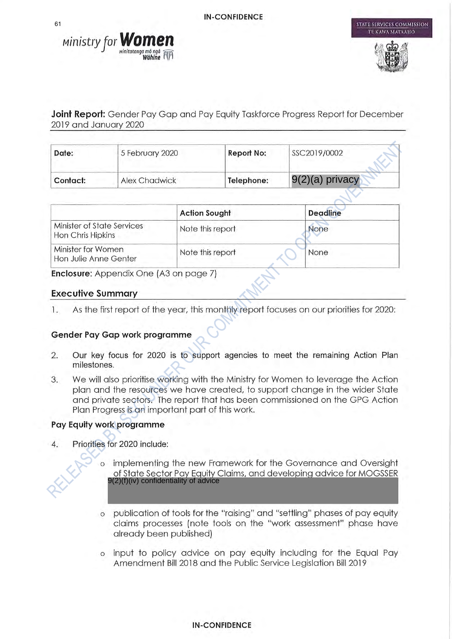



**STATE SERVICES COMMISSION** 

**Joint Report:** Gender Pay Gap and Pay Equity Taskforce Progress Report for December 2019 and January 2020

| Date:    | 5 February 2020      | Report No: | SSC2019/0002       |
|----------|----------------------|------------|--------------------|
| Contact: | <b>Alex Chadwick</b> | Telephone: | $ 9(2)(a)$ privacy |

|                                                 | <b>Action Sought</b> | <b>Deadline</b> |
|-------------------------------------------------|----------------------|-----------------|
| Minister of State Services<br>Hon Chris Hipkins | Note this report     | None            |
| Minister for Women<br>Hon Julie Anne Genter     | Note this report     | None            |

Enclosure: Appendix One (A3 on page 7)

#### **Executive Summary**

As the first report of the year, this monthly report focuses on our priorities for 2020: 1.

#### Gender Pay Gap work programme

- $\overline{2}$ . Our key focus for 2020 is to support agencies to meet the remaining Action Plan milestones.
- We will also prioritise working with the Ministry for Women to leverage the Action 3. plan and the resources we have created, to support change in the wider State and private sectors. The report that has been commissioned on the GPG Action Plan Progress is an important part of this work.

# Pay Equity work programme

- $\overline{4}$ . Priorities for 2020 include:
	- implementing the new Framework for the Governance and Oversight of State Sector Pay Equity Claims, and developing advice for MOGSSER 9(2)(f)(iv) confidentiality of advice
	- publication of tools for the "raising" and "settling" phases of pay equity  $\circ$ claims processes (note tools on the "work assessment" phase have already been published)
	- o input to policy advice on pay equity including for the Equal Pay Amendment Bill 2018 and the Public Service Legislation Bill 2019

61

#### **IN-CONFIDENCE**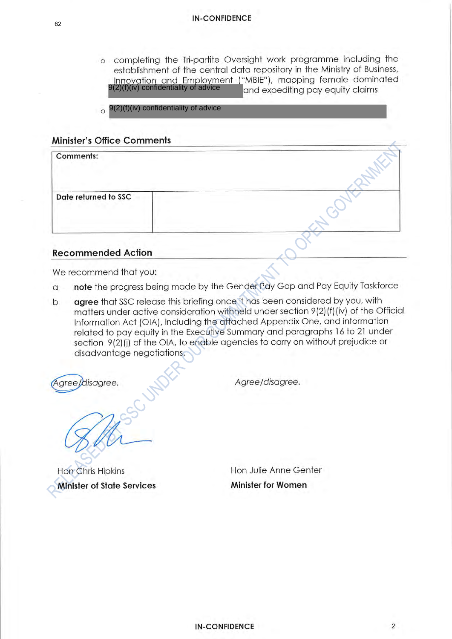- o completing the Tri-partite Oversight work programme including the establishment of the central data repository in the Ministry of Business, Innovation and Employment ("MBIE"), mapping female dominated<br>9(2)(f)(iv) confidentiality of advice and expediting pay equity claims
- $9(2)(f)(iv)$  confidentiality of advice  $\Omega$

#### **Minister's Office Comments**

| <b>Comments:</b>     |  |
|----------------------|--|
| Date returned to SSC |  |
|                      |  |

### **Recommended Action**

We recommend that you:

- note the progress being made by the Gender Pay Gap and Pay Equity Taskforce  $\alpha$
- agree that SSC release this briefing once it has been considered by you, with  $\mathsf{b}$ matters under active consideration withheld under section 9(2)(f)(iv) of the Official Information Act (OIA), including the attached Appendix One, and information related to pay equity in the Executive Summary and paragraphs 16 to 21 under section 9(2)(j) of the OIA, to enable agencies to carry on without prejudice or disadvantage negotiations.

Agree/disagree.

Agree/disagree.

**Hon Chris Hipkins Minister of State Services** 

Hon Julie Anne Genter **Minister for Women**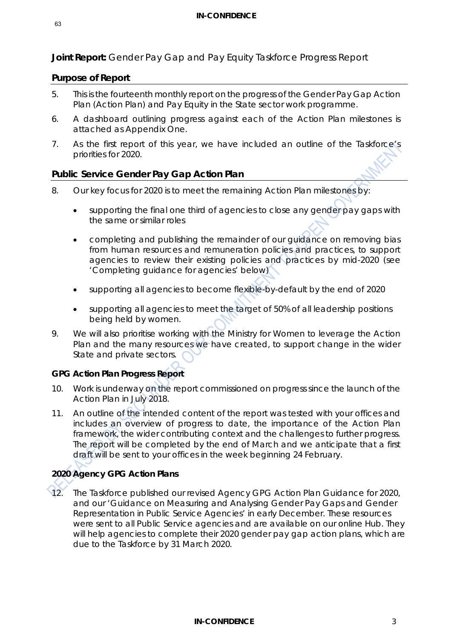**Joint Report:** Gender Pay Gap and Pay Equity Taskforce Progress Report

## **Purpose of Report**

- 5. This is the fourteenth monthly report on the progress of the Gender Pay Gap Action Plan (Action Plan) and Pay Equity in the State sector work programme.
- 6. A dashboard outlining progress against each of the Action Plan milestones is attached as Appendix One.
- 7. As the first report of this year, we have included an outline of the Taskforce's priorities for 2020.

# **Public Service Gender Pay Gap Action Plan**

- 8. Our key focus for 2020 is to meet the remaining Action Plan milestones by:
	- supporting the final one third of agencies to close any gender pay gaps with the same or similar roles
	- completing and publishing the remainder of our guidance on removing bias from human resources and remuneration policies and practices, to support agencies to review their existing policies and practices by mid-2020 (see 'Completing guidance for agencies' below)
	- supporting all agencies to become flexible-by-default by the end of 2020
	- supporting all agencies to meet the target of 50% of all leadership positions being held by women.
- 9. We will also prioritise working with the Ministry for Women to leverage the Action Plan and the many resources we have created, to support change in the wider State and private sectors.

# **GPG Action Plan Progress Report**

- 10. Work is underway on the report commissioned on progress since the launch of the Action Plan in July 2018.
- 11. An outline of the intended content of the report was tested with your offices and includes an overview of progress to date, the importance of the Action Plan framework, the wider contributing context and the challenges to further progress. The report will be completed by the end of March and we anticipate that a first draft will be sent to your offices in the week beginning 24 February.

# **2020 Agency GPG Action Plans**

12. The Taskforce published our revised Agency GPG Action Plan Guidance for 2020, and our 'Guidance on Measuring and Analysing Gender Pay Gaps and Gender Representation in Public Service Agencies' in early December. These resources were sent to all Public Service agencies and are available on our online Hub. They will help agencies to complete their 2020 gender pay gap action plans, which are due to the Taskforce by 31 March 2020.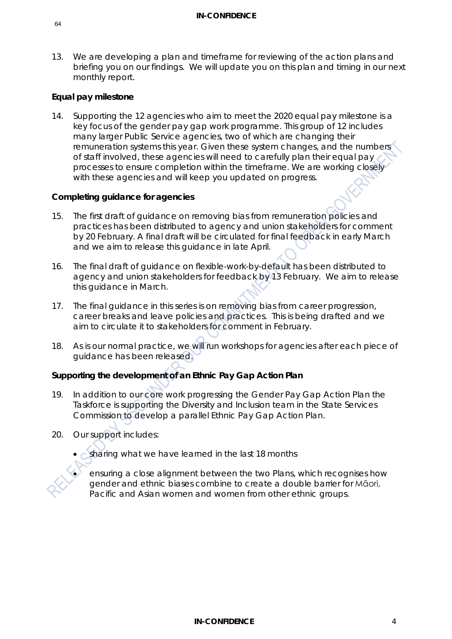13. We are developing a plan and timeframe for reviewing of the action plans and briefing you on our findings. We will update you on this plan and timing in our next monthly report.

## **Equal pay milestone**

14. Supporting the 12 agencies who aim to meet the 2020 equal pay milestone is a key focus of the gender pay gap work programme. This group of 12 includes many larger Public Service agencies, two of which are changing their remuneration systems this year. Given these system changes, and the numbers of staff involved, these agencies will need to carefully plan their equal pay processes to ensure completion within the timeframe. We are working closely with these agencies and will keep you updated on progress.

### **Completing guidance for agencies**

- 15. The first draft of guidance on removing bias from remuneration policies and practices has been distributed to agency and union stakeholders for comment by 20 February. A final draft will be circulated for final feedback in early March and we aim to release this guidance in late April.
- 16. The final draft of guidance on flexible-work-by-default has been distributed to agency and union stakeholders for feedback by 13 February. We aim to release this guidance in March.
- 17. The final guidance in this series is on removing bias from career progression, career breaks and leave policies and practices. This is being drafted and we aim to circulate it to stakeholders for comment in February.
- 18. As is our normal practice, we will run workshops for agencies after each piece of guidance has been released.

# **Supporting the development of an Ethnic Pay Gap Action Plan**

- 19. In addition to our core work progressing the Gender Pay Gap Action Plan the Taskforce is supporting the Diversity and Inclusion team in the State Services Commission to develop a parallel Ethnic Pay Gap Action Plan.
- 20. Our support includes:

• sharing what we have learned in the last 18 months

• ensuring a close alignment between the two Plans, which recognises how gender and ethnic biases combine to create a double barrier for Māori, Pacific and Asian women and women from other ethnic groups.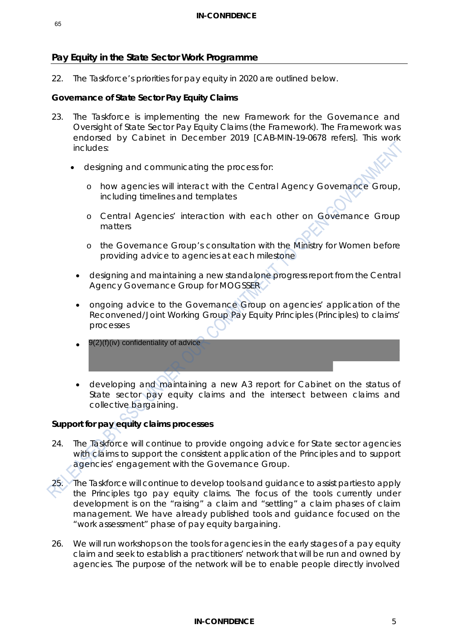# **Pay Equity in the State Sector Work Programme**

22. The Taskforce's priorities for pay equity in 2020 are outlined below.

#### **Governance of State Sector Pay Equity Claims**

- 23. The Taskforce is implementing the new Framework for the Governance and Oversight of State Sector Pay Equity Claims (the Framework). The Framework was endorsed by Cabinet in December 2019 [CAB-MIN-19-0678 refers]. This work includes:
	- designing and communicating the process for:
		- o how agencies will interact with the Central Agency Governance Group, including timelines and templates
		- o Central Agencies' interaction with each other on Governance Group matters
		- o the Governance Group's consultation with the Ministry for Women before providing advice to agencies at each milestone
		- designing and maintaining a new standalone progress report from the Central Agency Governance Group for MOGSSER
		- ongoing advice to the Governance Group on agencies' application of the Reconvened/Joint Working Group Pay Equity Principles (Principles) to claims' processes
		- 9(2)(f)(iv) confidentiality of advice
		- developing and maintaining a new A3 report for Cabinet on the status of State sector pay equity claims and the intersect between claims and collective bargaining.

# **Support for pay equity claims processes**

- 24. The Taskforce will continue to provide ongoing advice for State sector agencies with claims to support the consistent application of the Principles and to support agencies' engagement with the Governance Group.
- 25. The Taskforce will continue to develop tools and guidance to assist parties to apply the Principles tgo pay equity claims. The focus of the tools currently under development is on the "raising" a claim and "settling" a claim phases of claim management. We have already published tools and guidance focused on the "work assessment" phase of pay equity bargaining.
- 26. We will run workshops on the tools for agencies in the early stages of a pay equity claim and seek to establish a practitioners' network that will be run and owned by agencies. The purpose of the network will be to enable people directly involved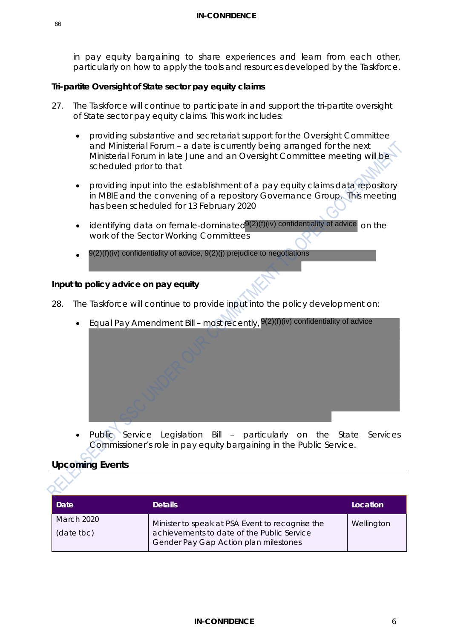in pay equity bargaining to share experiences and learn from each other, particularly on how to apply the tools and resources developed by the Taskforce.

#### **Tri-partite Oversight of State sector pay equity claims**

- 27. The Taskforce will continue to participate in and support the tri-partite oversight of State sector pay equity claims. This work includes:
	- providing substantive and secretariat support for the Oversight Committee and Ministerial Forum – a date is currently being arranged for the next Ministerial Forum in late June and an Oversight Committee meeting will be scheduled prior to that
	- providing input into the establishment of a pay equity claims data repository in MBIE and the convening of a repository Governance Group. This meeting has been scheduled for 13 February 2020
	- $\bullet$  identifying data on female-dominated $9(2)$ (f)(iv) confidentiality of advice on the work of the Sector Working Committees
	- 9(2)(f)(iv) confidentiality of advice, 9(2)(j) prejudice to negotiations

#### **Input to policy advice on pay equity**

- 28. The Taskforce will continue to provide input into the policy development on:
	- Equal Pay Amendment Bill most recently, <sup>9(2)(f)(iv)</sup> confidentiality of advice

Public Service Legislation Bill - particularly on the State Services Commissioner's role in pay equity bargaining in the Public Service.

#### **Upcoming Events**

| Date                     | <b>Details</b>                                                                                                                         | Location   |
|--------------------------|----------------------------------------------------------------------------------------------------------------------------------------|------------|
| March 2020<br>(date tbc) | Minister to speak at PSA Event to recognise the<br>achievements to date of the Public Service<br>Gender Pay Gap Action plan milestones | Wellington |

66